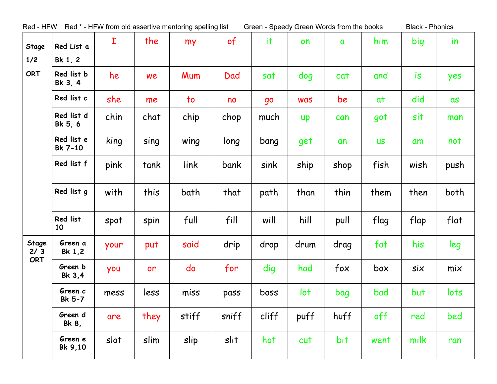| Red - HFW    |                       |      |      | Red * - HFW from old assertive mentoring spelling list |       |       | Green - Speedy Green Words from the books |              |           | <b>Black - Phonics</b> |           |
|--------------|-----------------------|------|------|--------------------------------------------------------|-------|-------|-------------------------------------------|--------------|-----------|------------------------|-----------|
| Stage        | Red List a            | I    | the  | my                                                     | of    | it    | on                                        | $\mathbf{a}$ | him       | big                    | <i>in</i> |
| 1/2          | Bk 1, 2               |      |      |                                                        |       |       |                                           |              |           |                        |           |
| <b>ORT</b>   | Red list b<br>Bk 3, 4 | he   | we   | Mum                                                    | Dad   | sat   | dog                                       | cat          | and       | is                     | yes       |
|              | Red list c            | she  | me   | $\overline{\mathsf{to}}$                               | no    | go    | <b>was</b>                                | be           | at        | did                    | as        |
|              | Red list d<br>Bk 5, 6 | chin | chat | chip                                                   | chop  | much  | <b>up</b>                                 | can          | got       | sit                    | man       |
|              | Red list e<br>Bk 7-10 | king | sing | wing                                                   | long  | bang  | get                                       | an           | <b>US</b> | am                     | not       |
|              | Red list f            | pink | tank | link                                                   | bank  | sink  | ship                                      | shop         | fish      | wish                   | push      |
|              | Red list g            | with | this | bath                                                   | that  | path  | than                                      | thin         | them      | then                   | both      |
|              | Red list<br>10        | spot | spin | full                                                   | fill  | will  | hill                                      | pull         | flag      | flap                   | flat      |
| Stage<br>2/3 | Green a<br>Bk 1,2     | your | put  | said                                                   | drip  | drop  | drum                                      | drag         | fat       | his                    | leg       |
| ORT          | Green b<br>Bk 3,4     | you  | or   | do                                                     | for   | dig   | had                                       | fox          | box       | six                    | mix       |
|              | Green c<br>Bk 5-7     | mess | less | miss                                                   | pass  | boss  | lot                                       | bag          | bad       | but                    | lots      |
|              | Green d<br>Bk 8,      | are  | they | stiff                                                  | sniff | cliff | puff                                      | huff         | off       | red                    | bed       |
|              | Green e<br>Bk 9,10    | slot | slim | slip                                                   | slit  | hot   | cut                                       | bit          | went      | milk                   | ran       |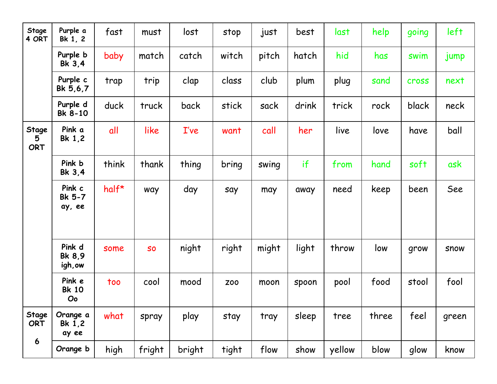| Stage<br>4 ORT             | Purple a<br>Bk 1, 2          | fast    | must      | lost   | stop       | just  | best  | last   | help  | going        | left        |
|----------------------------|------------------------------|---------|-----------|--------|------------|-------|-------|--------|-------|--------------|-------------|
|                            | Purple b<br>Bk 3.4           | baby    | match     | catch  | witch      | pitch | hatch | hid    | has   | swim         | jump        |
|                            | Purple c<br>Bk 5,6,7         | trap    | trip      | clap   | class      | club  | plum  | plug   | sand  | <b>cross</b> | next        |
|                            | Purple d<br>Bk 8-10          | duck    | truck     | back   | stick      | sack  | drink | trick  | rock  | black        | neck        |
| Stage<br>5<br><b>ORT</b>   | Pink a<br>Bk 1,2             | all     | like      | I've   | want       | call  | her   | live   | love  | have         | ball        |
|                            | Pink b<br>Bk 3,4             | think   | thank     | thing  | bring      | swing | if    | from   | hand  | soft         | ask         |
|                            | Pink c<br>Bk 5-7<br>ay, ee   | $half*$ | way       | day    | say        | may   | away  | need   | keep  | been         | See         |
|                            | Pink d<br>Bk 8.9<br>igh, ow  | some    | <b>SO</b> | night  | right      | might | light | throw  | low   | grow         | <b>SNOW</b> |
|                            | Pink e<br><b>Bk 10</b><br>Oo | too     | cool      | mood   | <b>Z00</b> | moon  | spoon | pool   | food  | stool        | fool        |
| <b>Stage</b><br><b>ORT</b> | Orange a<br>Bk 1,2<br>ay ee  | what    | spray     | play   | stay       | tray  | sleep | tree   | three | feel         | green       |
| 6                          | Orange b                     | high    | fright    | bright | tight      | flow  | show  | yellow | blow  | glow         | know        |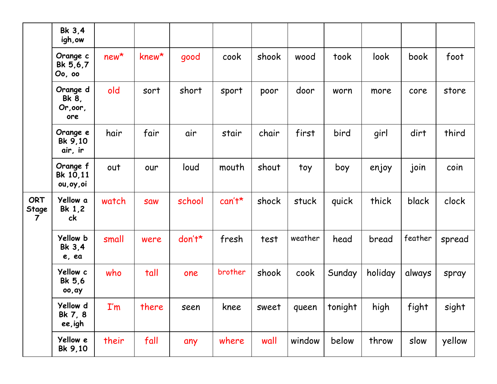|                                                | Bk 3,4<br>igh, ow                    |                         |             |        |          |       |         |         |         |         |        |
|------------------------------------------------|--------------------------------------|-------------------------|-------------|--------|----------|-------|---------|---------|---------|---------|--------|
|                                                | Orange c<br>Bk 5,6,7<br>Oo, oo       | $new*$                  | $k$ new $*$ | good   | cook     | shook | wood    | took    | look    | book    | foot   |
|                                                | Orange d<br>Bk 8,<br>Or, oor,<br>ore | old                     | sort        | short  | sport    | poor  | door    | worn    | more    | core    | store  |
|                                                | Orange e<br>Bk 9,10<br>air, ir       | hair                    | fair        | air    | stair    | chair | first   | bird    | girl    | dirt    | third  |
|                                                | Orange f<br>Bk 10,11<br>ou, oy, oi   | out                     | our         | loud   | mouth    | shout | toy     | boy     | enjoy   | join    | coin   |
| <b>ORT</b><br>Stage<br>$\overline{\mathbf{7}}$ | Yellow a<br>Bk 1,2<br>ck             | watch                   | <b>Saw</b>  | school | $can't*$ | shock | stuck   | quick   | thick   | black   | clock  |
|                                                | Yellow b<br>Bk 3,4<br>e, ea          | small                   | were        | don't* | fresh    | test  | weather | head    | bread   | feather | spread |
|                                                | Yellow c<br>Bk 5,6<br>00, ay         | who                     | tall        | one    | brother  | shook | cook    | Sunday  | holiday | always  | spray  |
|                                                | Yellow d<br>Bk 7, 8<br>ee,igh        | $\mathbf{I}'\mathbf{m}$ | there       | seen   | knee     | sweet | queen   | tonight | high    | fight   | sight  |
|                                                | Yellow e<br>Bk 9,10                  | their                   | fall        | any    | where    | wall  | window  | below   | throw   | slow    | yellow |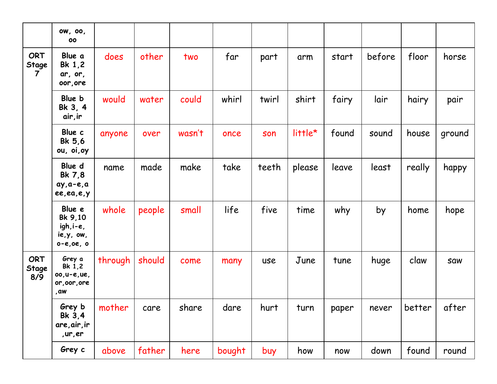|                                       | ow, oo,<br>00                                                  |         |        |        |        |       |         |       |        |        |            |
|---------------------------------------|----------------------------------------------------------------|---------|--------|--------|--------|-------|---------|-------|--------|--------|------------|
| <b>ORT</b><br>Stage<br>$\overline{7}$ | Blue a<br>Bk 1,2<br>ar, or,<br>oor, ore                        | does    | other  | two    | far    | part  | arm     | start | before | floor  | horse      |
|                                       | Blue b<br>Bk 3, 4<br>air, ir                                   | would   | water  | could  | whirl  | twirl | shirt   | fairy | lair   | hairy  | pair       |
|                                       | Blue c<br>Bk 5,6<br>ou, oi, oy                                 | anyone  | over   | wasn't | once   | son   | little* | found | sound  | house  | ground     |
|                                       | Blue d<br>Bk 7,8<br>$ay, a-e, a$<br>ee, ea, e, y               | name    | made   | make   | take   | teeth | please  | leave | least  | really | happy      |
|                                       | Blue e<br>Bk 9,10<br>igh, i-e,<br>ie, y, ow,<br>$0 - e, 0e, 0$ | whole   | people | small  | life   | five  | time    | why   | by     | home   | hope       |
| <b>ORT</b><br>Stage<br>8/9            | Grey a<br>Bk 1,2<br>00, u-e, ue,<br>or, oor, ore<br>, aw       | through | should | come   | many   | use   | June    | tune  | huge   | claw   | <b>Saw</b> |
|                                       | Grey b<br>Bk 3,4<br>are, air, ir<br>, ur, er                   | mother  | care   | share  | dare   | hurt  | turn    | paper | never  | better | after      |
|                                       | Grey c                                                         | above   | father | here   | bought | buy   | how     | now   | down   | found  | round      |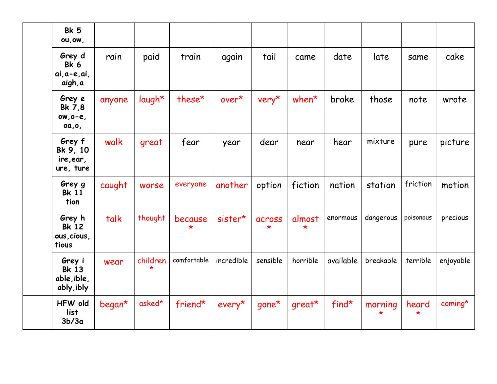| <b>Bk 5</b><br>ou, ow,                              |        |                     |             |            |                   |                   |           |              |                  |           |
|-----------------------------------------------------|--------|---------------------|-------------|------------|-------------------|-------------------|-----------|--------------|------------------|-----------|
| Grey d<br>Bk 6<br>$ai, a-e, ai,$<br>aigh, a         | rain   | paid                | train       | again      | tail              | came              | date      | late         | same             | cake      |
| Grey e<br>Bk 7,8<br>$ow, o-e,$<br>0a, 0,            | anyone | laugh*              | these*      | over*      | $very*$           | $when*$           | broke     | those        | note             | wrote     |
| Grey f<br>Bk 9, 10<br>ire, ear,<br>ure, ture        | walk   | great               | fear        | year       | dear              | near              | hear      | mixture      | pure             | picture   |
| Grey g<br><b>Bk</b> 11<br>tion                      | caught | worse               | everyone    | another    | option            | fiction           | nation    | station      | friction         | motion    |
| Grey h<br><b>Bk 12</b><br>ous, cious,<br>tious      | talk   | thought             | because     | sister*    | across<br>$\star$ | almost<br>$\star$ | enormous  | dangerous    | poisonous        | precious  |
| Grey i<br><b>Bk 13</b><br>able, ible,<br>ably, ibly | wear   | children<br>$\star$ | comfortable | incredible | sensible          | horrible          | available | breakable    | terrible         | enjoyable |
| <b>HFW</b> old<br>list<br>3b/3a                     | began* | asked*              | friend*     | $every*$   | $g$ one*          | $g$ reat $*$      | $find*$   | morning<br>* | heard<br>$\star$ | $coming*$ |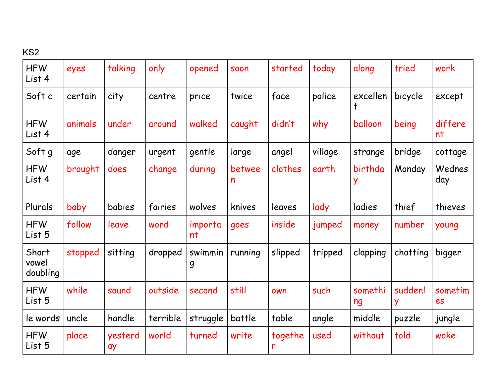## KS2

| <b>HFW</b><br>List 4       | eyes    | talking       | only     | opened        | <b>SOON</b> | started       | today   | along         | tried        | work          |
|----------------------------|---------|---------------|----------|---------------|-------------|---------------|---------|---------------|--------------|---------------|
| Soft c                     | certain | city          | centre   | price         | twice       | face          | police  | excellen<br>ϯ | bicycle      | except        |
| <b>HFW</b><br>List 4       | animals | under         | around   | walked        | caught      | didn't        | why     | balloon       | being        | differe<br>nt |
| Soft g                     | age     | danger        | urgent   | gentle        | large       | angel         | village | strange       | bridge       | cottage       |
| <b>HFW</b><br>List 4       | brought | does          | change   | during        | betwee<br>n | clothes       | earth   | birthda       | Monday       | Wednes<br>day |
| Plurals                    | baby    | babies        | fairies  | wolves        | knives      | leaves        | lady    | ladies        | thief        | thieves       |
| <b>HFW</b><br>List 5       | follow  | leave         | word     | importa<br>nt | goes        | inside        | jumped  | money         | number       | young         |
| Short<br>vowel<br>doubling | stopped | sitting       | dropped  | swimmin<br>9  | running     | slipped       | tripped | clapping      | chatting     | bigger        |
| <b>HFW</b><br>List 5       | while   | sound         | outside  | second        | still       | own           | such    | somethi<br>ng | suddenl<br>Y | sometim<br>es |
| le words                   | uncle   | handle        | terrible | struggle      | battle      | table         | angle   | middle        | puzzle       | jungle        |
| <b>HFW</b><br>List 5       | place   | yesterd<br>ay | world    | turned        | write       | togethe<br>'n | used    | without       | told         | woke          |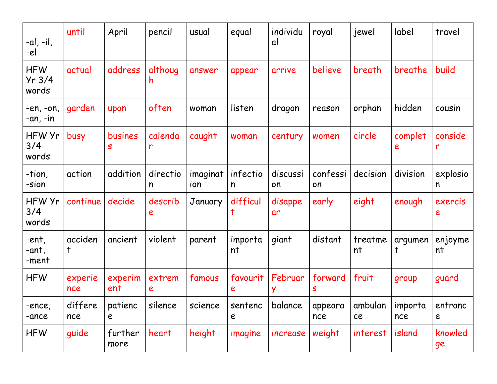| -al, -il,<br>-el              | until          | April           | pencil        | usual           | equal         | individu<br>αl | royal          | jewel         | label                  | travel        |
|-------------------------------|----------------|-----------------|---------------|-----------------|---------------|----------------|----------------|---------------|------------------------|---------------|
| <b>HFW</b><br>Yr 3/4<br>words | actual         | address         | althoug<br>h  | answer          | appear        | arrive         | believe        | breath        | breathe                | build         |
| $-en, -on,$<br>$-an, -in$     | garden         | upon            | often         | woman           | listen        | dragon         | reason         | orphan        | hidden                 | cousin        |
| HFW Yr<br>3/4<br>words        | busy           | busines<br>S    | calenda<br>r  | caught          | woman         | century        | women          | circle        | complet<br>e           | conside<br>r  |
| -tion,<br>-sion               | action         | addition        | directio<br>n | imaginat<br>ion | infectio<br>n | discussi<br>on | confessi<br>on | decision      | division               | explosio<br>n |
| HFW Yr<br>3/4<br>words        | continue       | decide          | describ<br>e  | January         | difficul<br>t | disappe<br>ar  | early          | eight         | enough                 | exercis<br>e  |
| -ent,<br>-ant,<br>-ment       | acciden<br>t   | ancient         | violent       | parent          | importa<br>nt | giant          | distant        | treatme<br>nt | argumen<br>$\mathsf t$ | enjoyme<br>nt |
| <b>HFW</b>                    | experie<br>nce | experim<br>ent  | extrem<br>e   | famous          | favourit<br>e | Februar        | forward<br>S   | fruit         | group                  | guard         |
| -ence,<br>-ance               | differe<br>nce | patienc<br>e    | silence       | science         | sentenc<br>e  | balance        | appeara<br>nce | ambulan<br>ce | <i>i</i> mporta<br>nce | entranc<br>e  |
| <b>HFW</b>                    | guide          | further<br>more | heart         | height          | imagine       | increase       | weight         | interest      | island                 | knowled<br>ge |